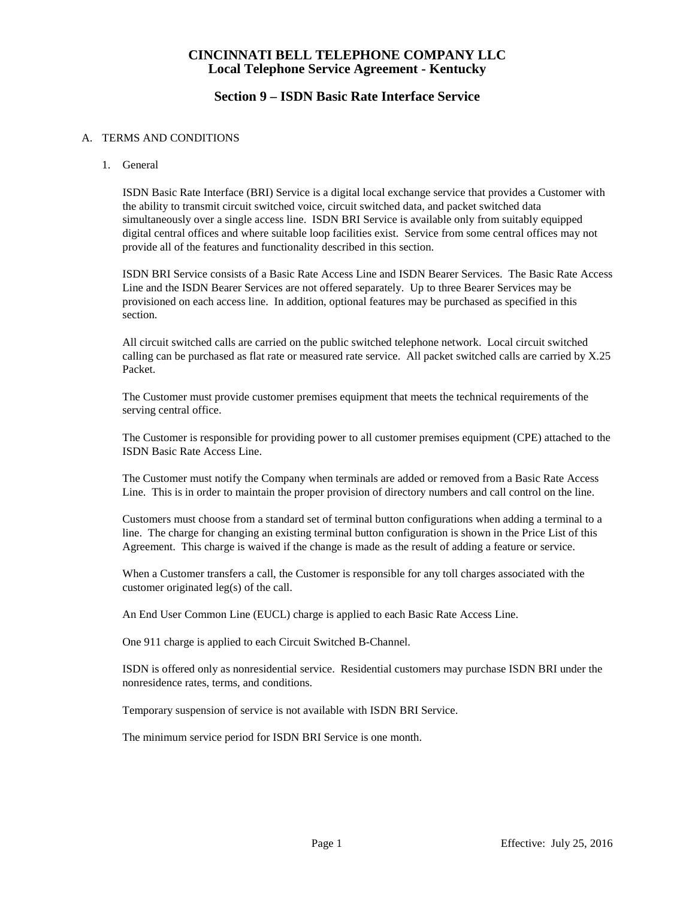## **Section 9 – ISDN Basic Rate Interface Service**

#### A. TERMS AND CONDITIONS

1. General

ISDN Basic Rate Interface (BRI) Service is a digital local exchange service that provides a Customer with the ability to transmit circuit switched voice, circuit switched data, and packet switched data simultaneously over a single access line. ISDN BRI Service is available only from suitably equipped digital central offices and where suitable loop facilities exist. Service from some central offices may not provide all of the features and functionality described in this section.

ISDN BRI Service consists of a Basic Rate Access Line and ISDN Bearer Services. The Basic Rate Access Line and the ISDN Bearer Services are not offered separately. Up to three Bearer Services may be provisioned on each access line. In addition, optional features may be purchased as specified in this section.

All circuit switched calls are carried on the public switched telephone network. Local circuit switched calling can be purchased as flat rate or measured rate service. All packet switched calls are carried by X.25 Packet.

The Customer must provide customer premises equipment that meets the technical requirements of the serving central office.

The Customer is responsible for providing power to all customer premises equipment (CPE) attached to the ISDN Basic Rate Access Line.

The Customer must notify the Company when terminals are added or removed from a Basic Rate Access Line. This is in order to maintain the proper provision of directory numbers and call control on the line.

Customers must choose from a standard set of terminal button configurations when adding a terminal to a line. The charge for changing an existing terminal button configuration is shown in the Price List of this Agreement. This charge is waived if the change is made as the result of adding a feature or service.

When a Customer transfers a call, the Customer is responsible for any toll charges associated with the customer originated leg(s) of the call.

An End User Common Line (EUCL) charge is applied to each Basic Rate Access Line.

One 911 charge is applied to each Circuit Switched B-Channel.

ISDN is offered only as nonresidential service. Residential customers may purchase ISDN BRI under the nonresidence rates, terms, and conditions.

Temporary suspension of service is not available with ISDN BRI Service.

The minimum service period for ISDN BRI Service is one month.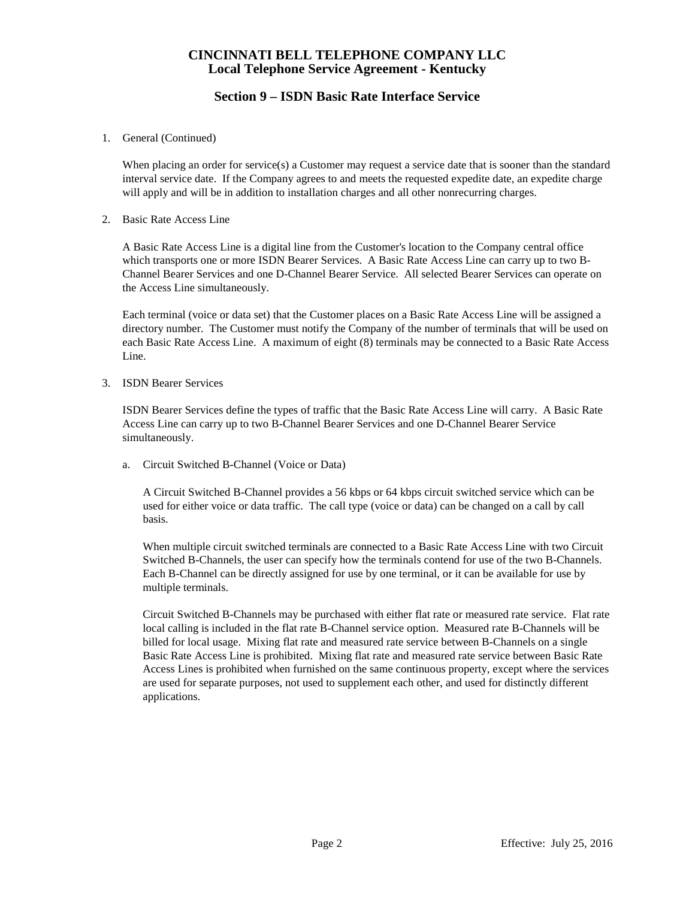# **Section 9 – ISDN Basic Rate Interface Service**

1. General (Continued)

When placing an order for service(s) a Customer may request a service date that is sooner than the standard interval service date. If the Company agrees to and meets the requested expedite date, an expedite charge will apply and will be in addition to installation charges and all other nonrecurring charges.

2. Basic Rate Access Line

A Basic Rate Access Line is a digital line from the Customer's location to the Company central office which transports one or more ISDN Bearer Services. A Basic Rate Access Line can carry up to two B-Channel Bearer Services and one D-Channel Bearer Service. All selected Bearer Services can operate on the Access Line simultaneously.

Each terminal (voice or data set) that the Customer places on a Basic Rate Access Line will be assigned a directory number. The Customer must notify the Company of the number of terminals that will be used on each Basic Rate Access Line. A maximum of eight (8) terminals may be connected to a Basic Rate Access Line.

3. ISDN Bearer Services

ISDN Bearer Services define the types of traffic that the Basic Rate Access Line will carry. A Basic Rate Access Line can carry up to two B-Channel Bearer Services and one D-Channel Bearer Service simultaneously.

a. Circuit Switched B-Channel (Voice or Data)

A Circuit Switched B-Channel provides a 56 kbps or 64 kbps circuit switched service which can be used for either voice or data traffic. The call type (voice or data) can be changed on a call by call basis.

When multiple circuit switched terminals are connected to a Basic Rate Access Line with two Circuit Switched B-Channels, the user can specify how the terminals contend for use of the two B-Channels. Each B-Channel can be directly assigned for use by one terminal, or it can be available for use by multiple terminals.

Circuit Switched B-Channels may be purchased with either flat rate or measured rate service. Flat rate local calling is included in the flat rate B-Channel service option. Measured rate B-Channels will be billed for local usage. Mixing flat rate and measured rate service between B-Channels on a single Basic Rate Access Line is prohibited. Mixing flat rate and measured rate service between Basic Rate Access Lines is prohibited when furnished on the same continuous property, except where the services are used for separate purposes, not used to supplement each other, and used for distinctly different applications.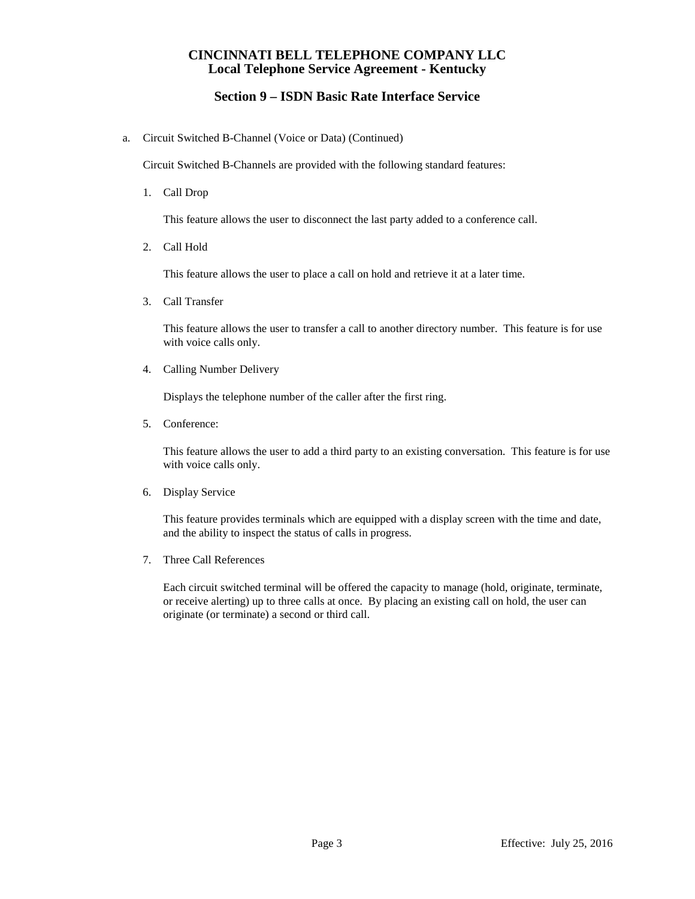# **Section 9 – ISDN Basic Rate Interface Service**

a. Circuit Switched B-Channel (Voice or Data) (Continued)

Circuit Switched B-Channels are provided with the following standard features:

1. Call Drop

This feature allows the user to disconnect the last party added to a conference call.

2. Call Hold

This feature allows the user to place a call on hold and retrieve it at a later time.

3. Call Transfer

This feature allows the user to transfer a call to another directory number. This feature is for use with voice calls only.

4. Calling Number Delivery

Displays the telephone number of the caller after the first ring.

5. Conference:

This feature allows the user to add a third party to an existing conversation. This feature is for use with voice calls only.

6. Display Service

This feature provides terminals which are equipped with a display screen with the time and date, and the ability to inspect the status of calls in progress.

7. Three Call References

Each circuit switched terminal will be offered the capacity to manage (hold, originate, terminate, or receive alerting) up to three calls at once. By placing an existing call on hold, the user can originate (or terminate) a second or third call.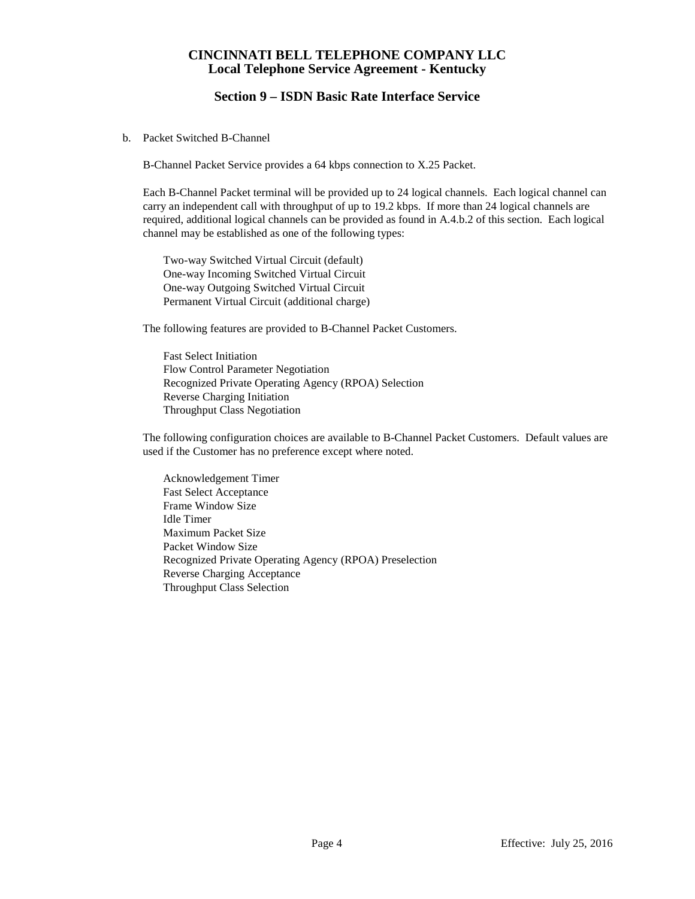## **Section 9 – ISDN Basic Rate Interface Service**

b. Packet Switched B-Channel

B-Channel Packet Service provides a 64 kbps connection to X.25 Packet.

Each B-Channel Packet terminal will be provided up to 24 logical channels. Each logical channel can carry an independent call with throughput of up to 19.2 kbps. If more than 24 logical channels are required, additional logical channels can be provided as found in A.4.b.2 of this section. Each logical channel may be established as one of the following types:

Two-way Switched Virtual Circuit (default) One-way Incoming Switched Virtual Circuit One-way Outgoing Switched Virtual Circuit Permanent Virtual Circuit (additional charge)

The following features are provided to B-Channel Packet Customers.

Fast Select Initiation Flow Control Parameter Negotiation Recognized Private Operating Agency (RPOA) Selection Reverse Charging Initiation Throughput Class Negotiation

The following configuration choices are available to B-Channel Packet Customers. Default values are used if the Customer has no preference except where noted.

Acknowledgement Timer Fast Select Acceptance Frame Window Size Idle Timer Maximum Packet Size Packet Window Size Recognized Private Operating Agency (RPOA) Preselection Reverse Charging Acceptance Throughput Class Selection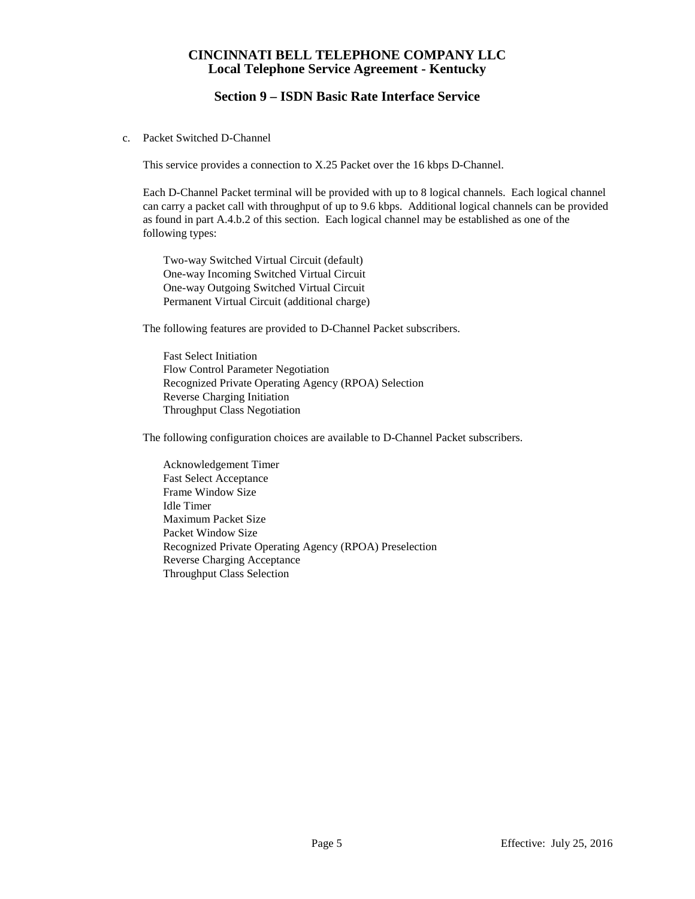## **Section 9 – ISDN Basic Rate Interface Service**

c. Packet Switched D-Channel

This service provides a connection to X.25 Packet over the 16 kbps D-Channel.

Each D-Channel Packet terminal will be provided with up to 8 logical channels. Each logical channel can carry a packet call with throughput of up to 9.6 kbps. Additional logical channels can be provided as found in part A.4.b.2 of this section. Each logical channel may be established as one of the following types:

Two-way Switched Virtual Circuit (default) One-way Incoming Switched Virtual Circuit One-way Outgoing Switched Virtual Circuit Permanent Virtual Circuit (additional charge)

The following features are provided to D-Channel Packet subscribers.

Fast Select Initiation Flow Control Parameter Negotiation Recognized Private Operating Agency (RPOA) Selection Reverse Charging Initiation Throughput Class Negotiation

The following configuration choices are available to D-Channel Packet subscribers.

Acknowledgement Timer Fast Select Acceptance Frame Window Size Idle Timer Maximum Packet Size Packet Window Size Recognized Private Operating Agency (RPOA) Preselection Reverse Charging Acceptance Throughput Class Selection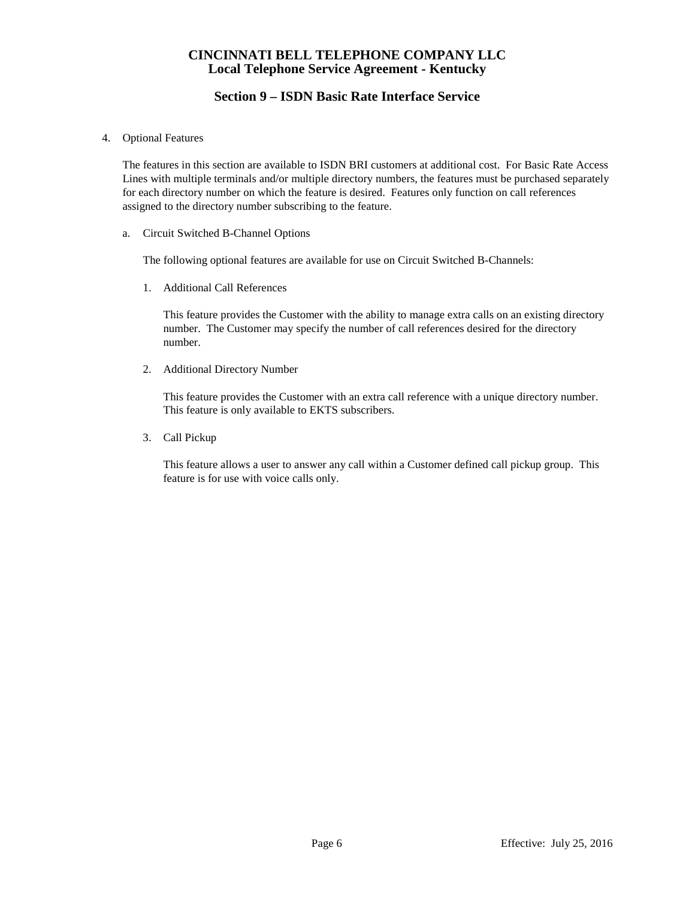# **Section 9 – ISDN Basic Rate Interface Service**

4. Optional Features

The features in this section are available to ISDN BRI customers at additional cost. For Basic Rate Access Lines with multiple terminals and/or multiple directory numbers, the features must be purchased separately for each directory number on which the feature is desired. Features only function on call references assigned to the directory number subscribing to the feature.

a. Circuit Switched B-Channel Options

The following optional features are available for use on Circuit Switched B-Channels:

1. Additional Call References

This feature provides the Customer with the ability to manage extra calls on an existing directory number. The Customer may specify the number of call references desired for the directory number.

2. Additional Directory Number

This feature provides the Customer with an extra call reference with a unique directory number. This feature is only available to EKTS subscribers.

3. Call Pickup

This feature allows a user to answer any call within a Customer defined call pickup group. This feature is for use with voice calls only.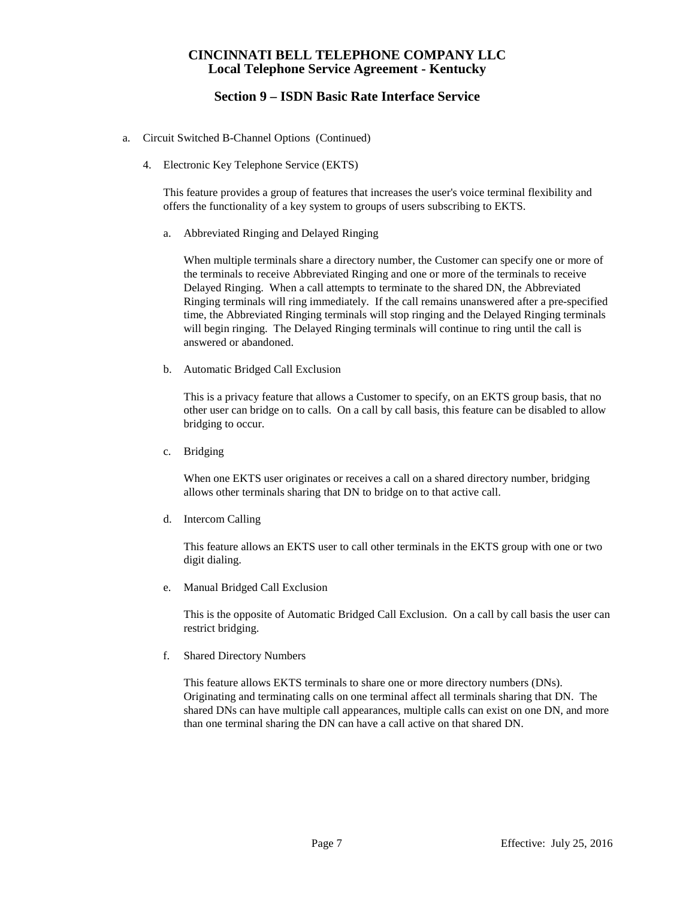## **Section 9 – ISDN Basic Rate Interface Service**

- a. Circuit Switched B-Channel Options (Continued)
	- 4. Electronic Key Telephone Service (EKTS)

This feature provides a group of features that increases the user's voice terminal flexibility and offers the functionality of a key system to groups of users subscribing to EKTS.

a. Abbreviated Ringing and Delayed Ringing

When multiple terminals share a directory number, the Customer can specify one or more of the terminals to receive Abbreviated Ringing and one or more of the terminals to receive Delayed Ringing. When a call attempts to terminate to the shared DN, the Abbreviated Ringing terminals will ring immediately. If the call remains unanswered after a pre-specified time, the Abbreviated Ringing terminals will stop ringing and the Delayed Ringing terminals will begin ringing. The Delayed Ringing terminals will continue to ring until the call is answered or abandoned.

b. Automatic Bridged Call Exclusion

This is a privacy feature that allows a Customer to specify, on an EKTS group basis, that no other user can bridge on to calls. On a call by call basis, this feature can be disabled to allow bridging to occur.

c. Bridging

When one EKTS user originates or receives a call on a shared directory number, bridging allows other terminals sharing that DN to bridge on to that active call.

d. Intercom Calling

This feature allows an EKTS user to call other terminals in the EKTS group with one or two digit dialing.

e. Manual Bridged Call Exclusion

This is the opposite of Automatic Bridged Call Exclusion. On a call by call basis the user can restrict bridging.

f. Shared Directory Numbers

This feature allows EKTS terminals to share one or more directory numbers (DNs). Originating and terminating calls on one terminal affect all terminals sharing that DN. The shared DNs can have multiple call appearances, multiple calls can exist on one DN, and more than one terminal sharing the DN can have a call active on that shared DN.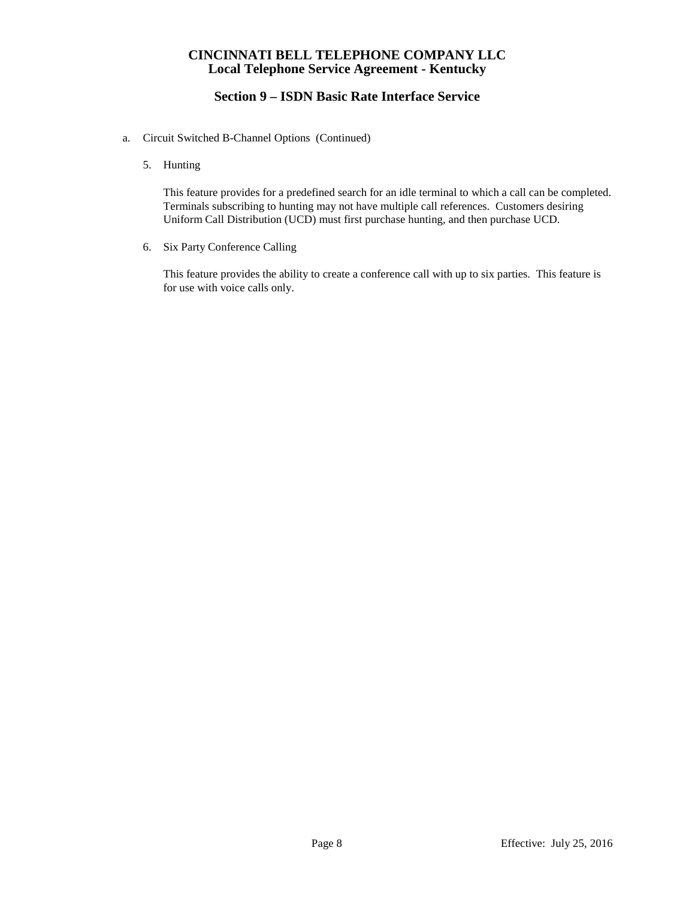# **Section 9 – ISDN Basic Rate Interface Service**

- a. Circuit Switched B-Channel Options (Continued)
	- 5. Hunting

This feature provides for a predefined search for an idle terminal to which a call can be completed. Terminals subscribing to hunting may not have multiple call references. Customers desiring Uniform Call Distribution (UCD) must first purchase hunting, and then purchase UCD.

6. Six Party Conference Calling

This feature provides the ability to create a conference call with up to six parties. This feature is for use with voice calls only.